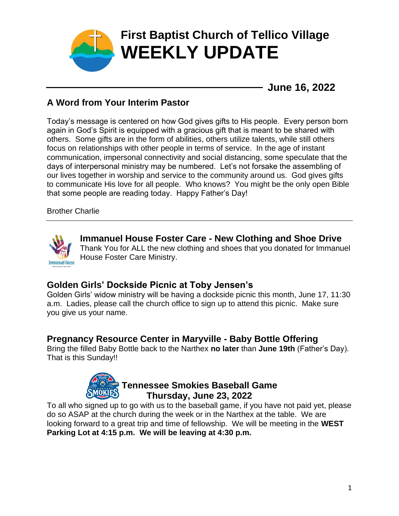

**June 16, 2022**

# **A Word from Your Interim Pastor**

Today's message is centered on how God gives gifts to His people. Every person born again in God's Spirit is equipped with a gracious gift that is meant to be shared with others. Some gifts are in the form of abilities, others utilize talents, while still others focus on relationships with other people in terms of service. In the age of instant communication, impersonal connectivity and social distancing, some speculate that the days of interpersonal ministry may be numbered. Let's not forsake the assembling of our lives together in worship and service to the community around us. God gives gifts to communicate His love for all people. Who knows? You might be the only open Bible that some people are reading today. Happy Father's Day!

Brother Charlie



**Immanuel House Foster Care - New Clothing and Shoe Drive** Thank You for ALL the new clothing and shoes that you donated for Immanuel House Foster Care Ministry.

# **Golden Girls' Dockside Picnic at Toby Jensen's**

Golden Girls' widow ministry will be having a dockside picnic this month, June 17, 11:30 a.m. Ladies, please call the church office to sign up to attend this picnic. Make sure you give us your name.

#### **Pregnancy Resource Center in Maryville - Baby Bottle Offering**

Bring the filled Baby Bottle back to the Narthex **no later** than **June 19th** (Father's Day). That is this Sunday!!



# **Tennessee Smokies Baseball Game Thursday, June 23, 2022**

To all who signed up to go with us to the baseball game, if you have not paid yet, please do so ASAP at the church during the week or in the Narthex at the table. We are looking forward to a great trip and time of fellowship. We will be meeting in the **WEST Parking Lot at 4:15 p.m. We will be leaving at 4:30 p.m.**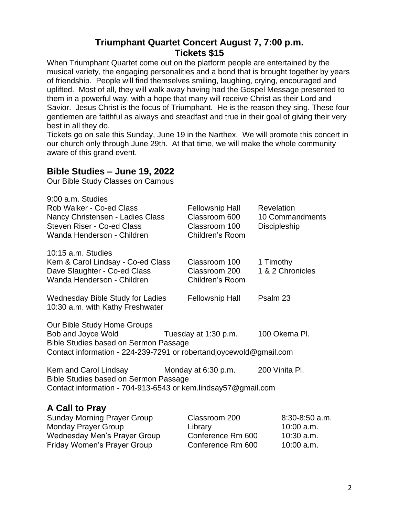# **Triumphant Quartet Concert August 7, 7:00 p.m. Tickets \$15**

When Triumphant Quartet come out on the platform people are entertained by the musical variety, the engaging personalities and a bond that is brought together by years of friendship. People will find themselves smiling, laughing, crying, encouraged and uplifted. Most of all, they will walk away having had the Gospel Message presented to them in a powerful way, with a hope that many will receive Christ as their Lord and Savior. Jesus Christ is the focus of Triumphant. He is the reason they sing. These four gentlemen are faithful as always and steadfast and true in their goal of giving their very best in all they do.

Tickets go on sale this Sunday, June 19 in the Narthex. We will promote this concert in our church only through June 29th. At that time, we will make the whole community aware of this grand event.

#### **Bible Studies – June 19, 2022**

Our Bible Study Classes on Campus

| 9:00 a.m. Studies<br>Rob Walker - Co-ed Class<br>Nancy Christensen - Ladies Class<br>Steven Riser - Co-ed Class<br>Wanda Henderson - Children                            | <b>Fellowship Hall</b><br>Classroom 600<br>Classroom 100<br><b>Children's Room</b> | Revelation<br>10 Commandments<br><b>Discipleship</b>       |  |  |
|--------------------------------------------------------------------------------------------------------------------------------------------------------------------------|------------------------------------------------------------------------------------|------------------------------------------------------------|--|--|
| 10:15 a.m. Studies<br>Kem & Carol Lindsay - Co-ed Class<br>Dave Slaughter - Co-ed Class<br>Wanda Henderson - Children                                                    | Classroom 100<br>Classroom 200<br>Children's Room                                  | 1 Timothy<br>1 & 2 Chronicles                              |  |  |
| Wednesday Bible Study for Ladies<br>10:30 a.m. with Kathy Freshwater                                                                                                     | <b>Fellowship Hall</b>                                                             | Psalm 23                                                   |  |  |
| Our Bible Study Home Groups<br>Bob and Joyce Wold<br>Bible Studies based on Sermon Passage<br>Contact information - 224-239-7291 or robertandjoycewold@gmail.com         | Tuesday at 1:30 p.m.                                                               | 100 Okema Pl.                                              |  |  |
| Kem and Carol Lindsay<br>200 Vinita PI.<br>Monday at 6:30 p.m.<br>Bible Studies based on Sermon Passage<br>Contact information - 704-913-6543 or kem.lindsay57@gmail.com |                                                                                    |                                                            |  |  |
| A Call to Pray<br><b>Sunday Morning Prayer Group</b><br><b>Monday Prayer Group</b><br><b>Wednesday Men's Prayer Group</b><br><b>Friday Women's Prayer Group</b>          | Classroom 200<br>Library<br>Conference Rm 600<br>Conference Rm 600                 | $8:30-8:50$ a.m.<br>10:00 a.m.<br>10:30 a.m.<br>10:00 a.m. |  |  |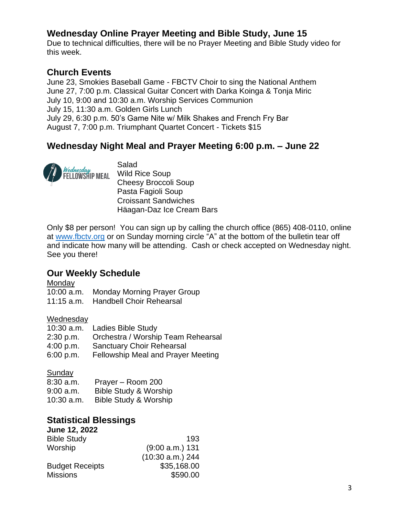# **Wednesday Online Prayer Meeting and Bible Study, June 15**

Due to technical difficulties, there will be no Prayer Meeting and Bible Study video for this week.

### **Church Events**

June 23, Smokies Baseball Game - FBCTV Choir to sing the National Anthem June 27, 7:00 p.m. Classical Guitar Concert with Darka Koinga & Tonja Miric July 10, 9:00 and 10:30 a.m. Worship Services Communion July 15, 11:30 a.m. Golden Girls Lunch July 29, 6:30 p.m. 50's Game Nite w/ Milk Shakes and French Fry Bar August 7, 7:00 p.m. Triumphant Quartet Concert - Tickets \$15

# **Wednesday Night Meal and Prayer Meeting 6:00 p.m. – June 22**



Salad Wild Rice Soup Cheesy Broccoli Soup Pasta Fagioli Soup Croissant Sandwiches Häagan-Daz Ice Cream Bars

Only \$8 per person! You can sign up by calling the church office (865) 408-0110, online at [www.fbctv.org](http://www.fbctv.org/) or on Sunday morning circle "A" at the bottom of the bulletin tear off and indicate how many will be attending. Cash or check accepted on Wednesday night. See you there!

#### **Our Weekly Schedule**

**Monday** 

- 10:00 a.m. Monday Morning Prayer Group
- 11:15 a.m. Handbell Choir Rehearsal

#### **Wednesday**

| $10:30$ a.m. | <b>Ladies Bible Study</b>                 |
|--------------|-------------------------------------------|
| 2:30 p.m.    | Orchestra / Worship Team Rehearsal        |
| 4:00 p.m.    | <b>Sanctuary Choir Rehearsal</b>          |
| 6:00 p.m.    | <b>Fellowship Meal and Prayer Meeting</b> |

#### Sunday

| $8:30$ a.m.  | Prayer - Room 200                |
|--------------|----------------------------------|
| 9:00 a.m.    | <b>Bible Study &amp; Worship</b> |
| $10:30$ a.m. | Bible Study & Worship            |

#### **Statistical Blessings**

| June 12, 2022          |                   |
|------------------------|-------------------|
| <b>Bible Study</b>     | 193               |
| Worship                | $(9:00 a.m.)$ 131 |
|                        | (10:30 a.m.) 244  |
| <b>Budget Receipts</b> | \$35,168.00       |
| <b>Missions</b>        | \$590.00          |